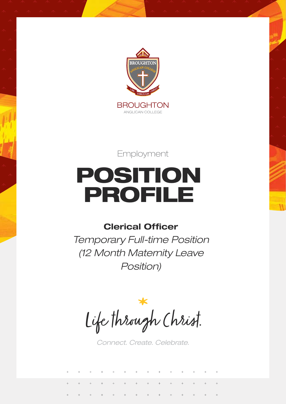

Employment

# POSITION PROFILE

# **Clerical Officer**

*Temporary Full-time Position (12 Month Maternity Leave Position)*

Life through Christ.

*Connect. Create. Celebrate.*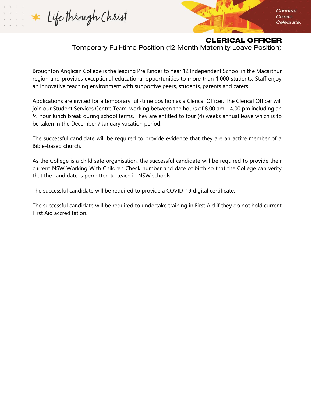Life through Christ

Connect. Create. Celebrate.

#### **CLERICAL OFFICER**

Temporary Full-time Position (12 Month Maternity Leave Position)

Broughton Anglican College is the leading Pre Kinder to Year 12 Independent School in the Macarthur region and provides exceptional educational opportunities to more than 1,000 students. Staff enjoy an innovative teaching environment with supportive peers, students, parents and carers.

Applications are invited for a temporary full-time position as a Clerical Officer. The Clerical Officer will join our Student Services Centre Team, working between the hours of 8.00 am – 4.00 pm including an ½ hour lunch break during school terms. They are entitled to four (4) weeks annual leave which is to be taken in the December / January vacation period.

The successful candidate will be required to provide evidence that they are an active member of a Bible-based church.

As the College is a child safe organisation, the successful candidate will be required to provide their current NSW Working With Children Check number and date of birth so that the College can verify that the candidate is permitted to teach in NSW schools.

The successful candidate will be required to provide a COVID-19 digital certificate.

The successful candidate will be required to undertake training in First Aid if they do not hold current First Aid accreditation.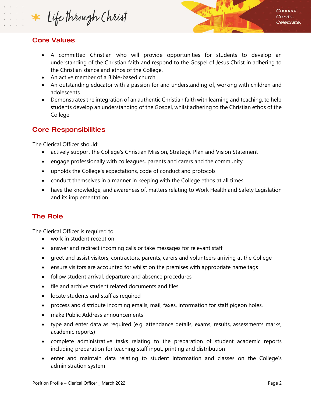Life through Christ

# **Core Values**

- A committed Christian who will provide opportunities for students to develop an understanding of the Christian faith and respond to the Gospel of Jesus Christ in adhering to the Christian stance and ethos of the College.
- An active member of a Bible-based church.
- An outstanding educator with a passion for and understanding of, working with children and adolescents.
- Demonstrates the integration of an authentic Christian faith with learning and teaching, to help students develop an understanding of the Gospel, whilst adhering to the Christian ethos of the College.

#### **Core Responsibilities**

The Clerical Officer should:

- actively support the College's Christian Mission, Strategic Plan and Vision Statement
- engage professionally with colleagues, parents and carers and the community
- upholds the College's expectations, code of conduct and protocols
- conduct themselves in a manner in keeping with the College ethos at all times
- have the knowledge, and awareness of, matters relating to Work Health and Safety Legislation and its implementation.

# **The Role**

The Clerical Officer is required to:

- work in student reception
- answer and redirect incoming calls or take messages for relevant staff
- greet and assist visitors, contractors, parents, carers and volunteers arriving at the College
- ensure visitors are accounted for whilst on the premises with appropriate name tags
- follow student arrival, departure and absence procedures
- file and archive student related documents and files
- locate students and staff as required
- process and distribute incoming emails, mail, faxes, information for staff pigeon holes.
- make Public Address announcements
- type and enter data as required (e.g. attendance details, exams, results, assessments marks, academic reports)
- complete administrative tasks relating to the preparation of student academic reports including preparation for teaching staff input, printing and distribution
- enter and maintain data relating to student information and classes on the College's administration system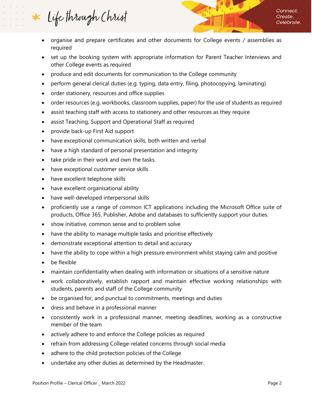Life through Christ

- organise and prepare certificates and other documents for College events / assemblies as required
- set up the booking system with appropriate information for Parent Teacher Interviews and other College events as required
- produce and edit documents for communication to the College community
- perform general clerical duties (e.g. typing, data entry, filing, photocopying, laminating)
- order stationery, resources and office supplies
- order resources (e.g. workbooks, classroom supplies, paper) for the use of students as required
- assist teaching staff with access to stationery and other resources as they require
- assist Teaching, Support and Operational Staff as required
- provide back-up First Aid support
- have exceptional communication skills, both written and verbal
- have a high standard of personal presentation and integrity
- take pride in their work and own the tasks.
- have exceptional customer service skills
- have excellent telephone skills
- have excellent organisational ability
- have well-developed interpersonal skills
- proficiently use a range of common ICT applications including the Microsoft Office suite of products, Office 365, Publisher, Adobe and databases to sufficiently support your duties.
- show initiative, common sense and to problem solve
- have the ability to manage multiple tasks and prioritise effectively
- demonstrate exceptional attention to detail and accuracy
- have the ability to cope within a high pressure environment whilst staying calm and positive
- be flexible
- maintain confidentiality when dealing with information or situations of a sensitive nature
- work collaboratively, establish rapport and maintain effective working relationships with students, parents and staff of the College community
- be organised for, and punctual to commitments, meetings and duties
- dress and behave in a professional manner
- consistently work in a professional manner, meeting deadlines, working as a constructive member of the team
- actively adhere to and enforce the College policies as required
- refrain from addressing College-related concerns through social media
- adhere to the child protection policies of the College
- undertake any other duties as determined by the Headmaster.

Connect. Create. Celebrate.